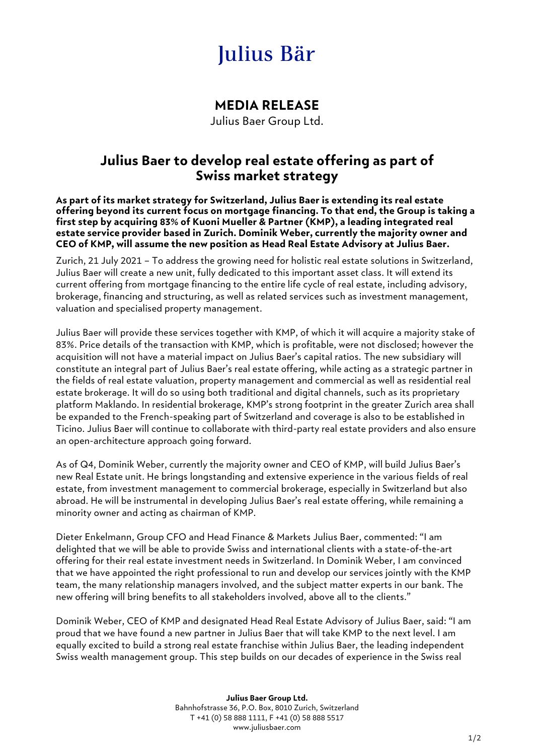# Julius Bär

## **MEDIA RELEASE**

Julius Baer Group Ltd.

## **Julius Baer to develop real estate offering as part of Swiss market strategy**

**As part of its market strategy for Switzerland, Julius Baer is extending its real estate offering beyond its current focus on mortgage financing. To that end, the Group is taking a first step by acquiring 83% of Kuoni Mueller & Partner (KMP), a leading integrated real estate service provider based in Zurich. Dominik Weber, currently the majority owner and CEO of KMP, will assume the new position as Head Real Estate Advisory at Julius Baer.**

Zurich, 21 July 2021 – To address the growing need for holistic real estate solutions in Switzerland, Julius Baer will create a new unit, fully dedicated to this important asset class. It will extend its current offering from mortgage financing to the entire life cycle of real estate, including advisory, brokerage, financing and structuring, as well as related services such as investment management, valuation and specialised property management.

Julius Baer will provide these services together with KMP, of which it will acquire a majority stake of 83%. Price details of the transaction with KMP, which is profitable, were not disclosed; however the acquisition will not have a material impact on Julius Baer's capital ratios. The new subsidiary will constitute an integral part of Julius Baer's real estate offering, while acting as a strategic partner in the fields of real estate valuation, property management and commercial as well as residential real estate brokerage. It will do so using both traditional and digital channels, such as its proprietary platform Maklando. In residential brokerage, KMP's strong footprint in the greater Zurich area shall be expanded to the French-speaking part of Switzerland and coverage is also to be established in Ticino. Julius Baer will continue to collaborate with third-party real estate providers and also ensure an open-architecture approach going forward.

As of Q4, Dominik Weber, currently the majority owner and CEO of KMP, will build Julius Baer's new Real Estate unit. He brings longstanding and extensive experience in the various fields of real estate, from investment management to commercial brokerage, especially in Switzerland but also abroad. He will be instrumental in developing Julius Baer's real estate offering, while remaining a minority owner and acting as chairman of KMP.

Dieter Enkelmann, Group CFO and Head Finance & Markets Julius Baer, commented: "I am delighted that we will be able to provide Swiss and international clients with a state-of-the-art offering for their real estate investment needs in Switzerland. In Dominik Weber, I am convinced that we have appointed the right professional to run and develop our services jointly with the KMP team, the many relationship managers involved, and the subject matter experts in our bank. The new offering will bring benefits to all stakeholders involved, above all to the clients."

Dominik Weber, CEO of KMP and designated Head Real Estate Advisory of Julius Baer, said: "I am proud that we have found a new partner in Julius Baer that will take KMP to the next level. I am equally excited to build a strong real estate franchise within Julius Baer, the leading independent Swiss wealth management group. This step builds on our decades of experience in the Swiss real

> **Julius Baer Group Ltd.** Bahnhofstrasse 36, P.O. Box, 8010 Zurich, Switzerland T +41 (0) 58 888 1111, F +41 (0) 58 888 5517 www.juliusbaer.com